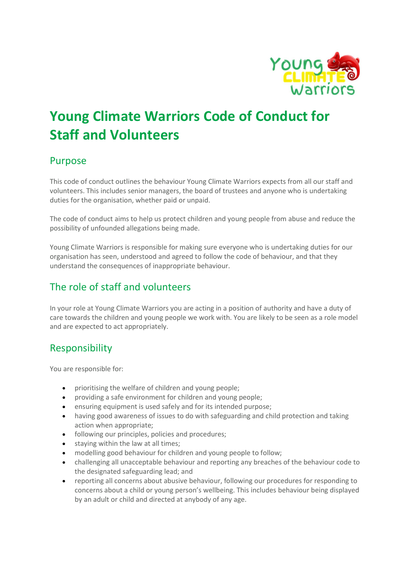

# Young Climate Warriors Code of Conduct for Staff and Volunteers

#### Purpose

This code of conduct outlines the behaviour Young Climate Warriors expects from all our staff and volunteers. This includes senior managers, the board of trustees and anyone who is undertaking duties for the organisation, whether paid or unpaid.

The code of conduct aims to help us protect children and young people from abuse and reduce the possibility of unfounded allegations being made.

Young Climate Warriors is responsible for making sure everyone who is undertaking duties for our organisation has seen, understood and agreed to follow the code of behaviour, and that they understand the consequences of inappropriate behaviour.

# The role of staff and volunteers

In your role at Young Climate Warriors you are acting in a position of authority and have a duty of care towards the children and young people we work with. You are likely to be seen as a role model and are expected to act appropriately.

## Responsibility

You are responsible for:

- prioritising the welfare of children and young people;
- providing a safe environment for children and young people;
- ensuring equipment is used safely and for its intended purpose;
- having good awareness of issues to do with safeguarding and child protection and taking action when appropriate;
- following our principles, policies and procedures;
- **•** staving within the law at all times:
- modelling good behaviour for children and young people to follow;
- challenging all unacceptable behaviour and reporting any breaches of the behaviour code to the designated safeguarding lead; and
- reporting all concerns about abusive behaviour, following our procedures for responding to concerns about a child or young person's wellbeing. This includes behaviour being displayed by an adult or child and directed at anybody of any age.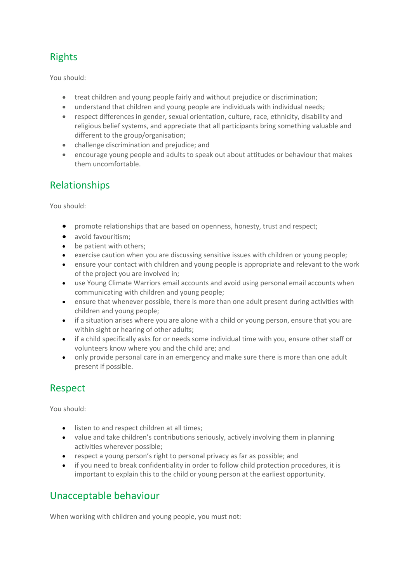# Rights

You should:

- treat children and young people fairly and without prejudice or discrimination;
- understand that children and young people are individuals with individual needs;
- respect differences in gender, sexual orientation, culture, race, ethnicity, disability and religious belief systems, and appreciate that all participants bring something valuable and different to the group/organisation;
- challenge discrimination and prejudice; and
- encourage young people and adults to speak out about attitudes or behaviour that makes them uncomfortable.

## Relationships

You should:

- promote relationships that are based on openness, honesty, trust and respect;
- avoid favouritism;
- be patient with others;
- exercise caution when you are discussing sensitive issues with children or young people;
- ensure your contact with children and young people is appropriate and relevant to the work of the project you are involved in;
- use Young Climate Warriors email accounts and avoid using personal email accounts when communicating with children and young people;
- ensure that whenever possible, there is more than one adult present during activities with children and young people;
- if a situation arises where you are alone with a child or young person, ensure that you are within sight or hearing of other adults;
- if a child specifically asks for or needs some individual time with you, ensure other staff or volunteers know where you and the child are; and
- only provide personal care in an emergency and make sure there is more than one adult present if possible.

# Respect

You should:

- **.** listen to and respect children at all times;
- value and take children's contributions seriously, actively involving them in planning activities wherever possible;
- respect a young person's right to personal privacy as far as possible; and
- if you need to break confidentiality in order to follow child protection procedures, it is important to explain this to the child or young person at the earliest opportunity.

## Unacceptable behaviour

When working with children and young people, you must not: